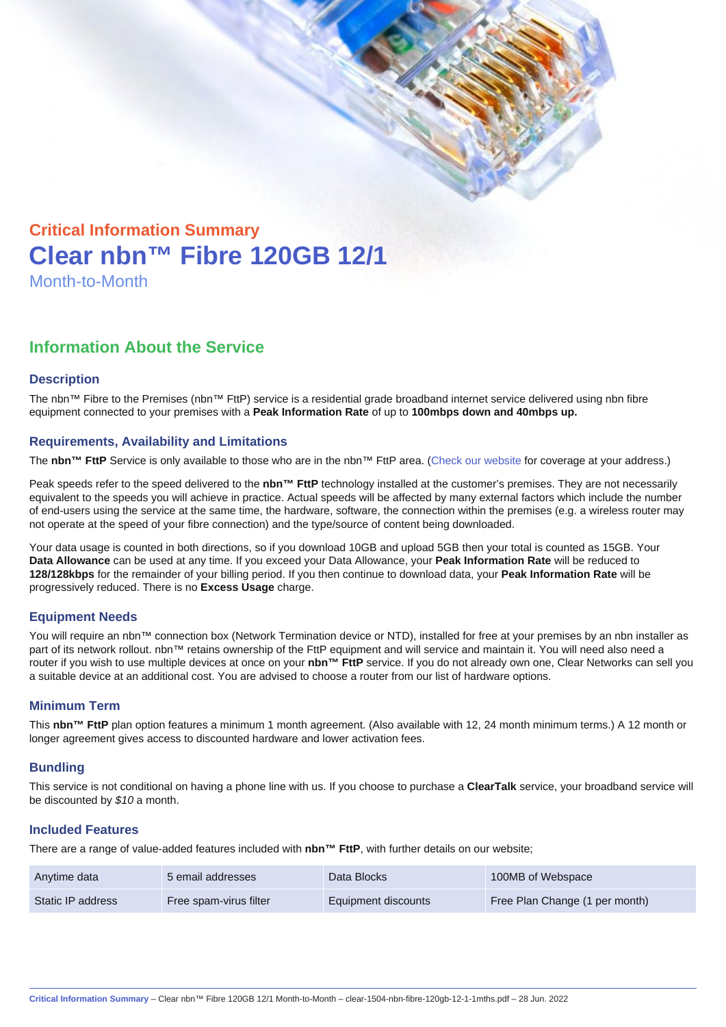# Critical Information Summary Clear nbn™ Fibre 120GB 12/1 Month-to-Month

## Information About the Service

#### **Description**

The nbn™ Fibre to the Premises (nbn™ FttP) service is a residential grade broadband internet service delivered using nbn fibre equipment connected to your premises with a Peak Information Rate of up to 100mbps down and 40mbps up.

#### Requirements, Availability and Limitations

The nbn™ FttP Service is only available to those who are in the nbn™ FttP area. ([Check our website](https://www.clear.com.au/residential/nbn-fixed/) for coverage at your address.)

Peak speeds refer to the speed delivered to the nbn™ FttP technology installed at the customer's premises. They are not necessarily equivalent to the speeds you will achieve in practice. Actual speeds will be affected by many external factors which include the number of end-users using the service at the same time, the hardware, software, the connection within the premises (e.g. a wireless router may not operate at the speed of your fibre connection) and the type/source of content being downloaded.

Your data usage is counted in both directions, so if you download 10GB and upload 5GB then your total is counted as 15GB. Your Data Allowance can be used at any time. If you exceed your Data Allowance, your Peak Information Rate will be reduced to 128/128kbps for the remainder of your billing period. If you then continue to download data, your Peak Information Rate will be progressively reduced. There is no Excess Usage charge.

#### Equipment Needs

You will require an nbn™ connection box (Network Termination device or NTD), installed for free at your premises by an nbn installer as part of its network rollout. nbn™ retains ownership of the FttP equipment and will service and maintain it. You will need also need a router if you wish to use multiple devices at once on your nbn™ FttP service. If you do not already own one, Clear Networks can sell you a suitable device at an additional cost. You are advised to choose a router from our list of hardware options.

#### Minimum Term

This nbn™ FttP plan option features a minimum 1 month agreement. (Also available with 12, 24 month minimum terms.) A 12 month or longer agreement gives access to discounted hardware and lower activation fees.

#### **Bundling**

This service is not conditional on having a phone line with us. If you choose to purchase a ClearTalk service, your broadband service will be discounted by \$10 a month.

#### Included Features

There are a range of value-added features included with nbn™ FttP , with further details on our website;

| Anytime data      | 5 email addresses      | Data Blocks         | 100MB of Webspace              |
|-------------------|------------------------|---------------------|--------------------------------|
| Static IP address | Free spam-virus filter | Equipment discounts | Free Plan Change (1 per month) |